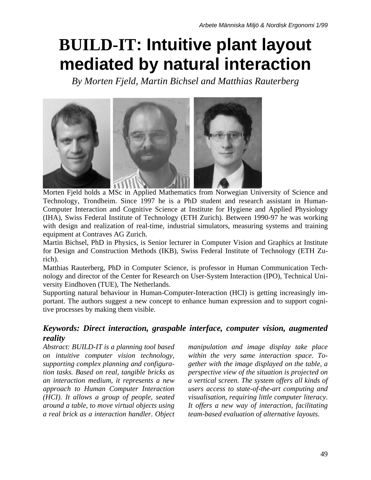# **BUILD-IT: Intuitive plant layout mediated by natural interaction**

*By Morten Fjeld, Martin Bichsel and Matthias Rauterberg* 



Morten Fjeld holds a MSc in Applied Mathematics from Norwegian University of Science and Technology, Trondheim. Since 1997 he is a PhD student and research assistant in Human-Computer Interaction and Cognitive Science at Institute for Hygiene and Applied Physiology (IHA), Swiss Federal Institute of Technology (ETH Zurich). Between 1990-97 he was working with design and realization of real-time, industrial simulators, measuring systems and training equipment at Contraves AG Zurich.

Martin Bichsel, PhD in Physics, is Senior lecturer in Computer Vision and Graphics at Institute for Design and Construction Methods (IKB), Swiss Federal Institute of Technology (ETH Zurich).

Matthias Rauterberg, PhD in Computer Science, is professor in Human Communication Technology and director of the Center for Research on User-System Interaction (IPO), Technical University Eindhoven (TUE), The Netherlands.

Supporting natural behaviour in Human-Computer-Interaction (HCI) is getting increasingly important. The authors suggest a new concept to enhance human expression and to support cognitive processes by making them visible.

#### *Keywords: Direct interaction, graspable interface, computer vision, augmented reality*

*Abstract: BUILD-IT is a planning tool based on intuitive computer vision technology, supporting complex planning and configuration tasks. Based on real, tangible bricks as an interaction medium, it represents a new approach to Human Computer Interaction (HCI). It allows a group of people, seated around a table, to move virtual objects using a real brick as a interaction handler. Object*  *manipulation and image display take place within the very same interaction space. Together with the image displayed on the table, a perspective view of the situation is projected on a vertical screen. The system offers all kinds of users access to state-of-the-art computing and visualisation, requiring little computer literacy. It offers a new way of interaction, facilitating team-based evaluation of alternative layouts.*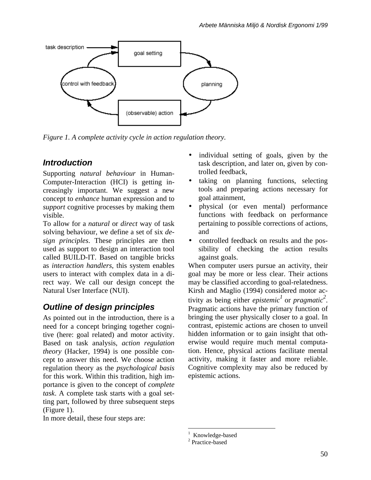

*Figure 1. A complete activity cycle in action regulation theory.* 

# *Introduction*

Supporting *natural behaviour* in Human-Computer-Interaction (HCI) is getting increasingly important. We suggest a new concept to *enhance* human expression and to *support* cognitive processes by making them visible.

To allow for a *natural* or *direct* way of task solving behaviour, we define a set of six *design principles*. These principles are then used as support to design an interaction tool called BUILD-IT. Based on tangible bricks as *interaction handlers*, this system enables users to interact with complex data in a direct way. We call our design concept the Natural User Interface (NUI).

# *Outline of design principles*

As pointed out in the introduction, there is a need for a concept bringing together cognitive (here: goal related) and motor activity. Based on task analysis, *action regulation theory* (Hacker, 1994) is one possible concept to answer this need. We choose action regulation theory as the *psychological basis*  for this work. Within this tradition, high importance is given to the concept of *complete task*. A complete task starts with a goal setting part, followed by three subsequent steps (Figure 1).

In more detail, these four steps are:

- individual setting of goals, given by the task description, and later on, given by controlled feedback,
- taking on planning functions, selecting tools and preparing actions necessary for goal attainment,
- physical (or even mental) performance functions with feedback on performance pertaining to possible corrections of actions, and
- controlled feedback on results and the possibility of checking the action results against goals.

When computer users pursue an activity, their goal may be more or less clear. Their actions may be classified according to goal-relatedness. Kirsh and Maglio (1994) considered motor activity as being either *epistemi[c](#page-1-1)*<sup>1</sup> or *pr[agm](#page-1-0)atic*<sup>2</sup>. Pragmatic actions have the primary function of bringing the user physically closer to a goal. In contrast, epistemic actions are chosen to unveil hidden information or to gain insight that otherwise would require much mental computation. Hence, physical actions facilitate mental activity, making it faster and more reliable. Cognitive complexity may also be reduced by epistemic actions.

 $\overline{a}$ 

<span id="page-1-0"></span><sup>1</sup> Knowledge-based 2

<span id="page-1-1"></span><sup>&</sup>lt;sup>2</sup> Practice-based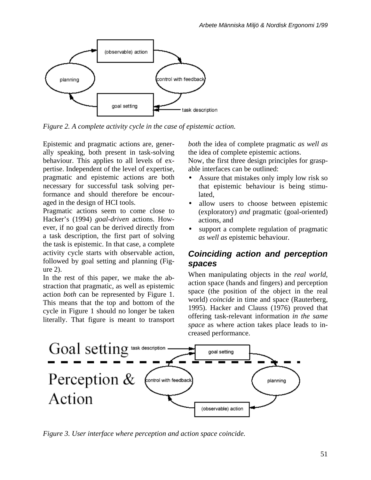

*Figure 2. A complete activity cycle in the case of epistemic action.* 

Epistemic and pragmatic actions are, generally speaking, both present in task-solving behaviour. This applies to all levels of expertise. Independent of the level of expertise, pragmatic and epistemic actions are both necessary for successful task solving performance and should therefore be encouraged in the design of HCI tools.

Pragmatic actions seem to come close to Hacker's (1994) *goal-driven* actions. However, if no goal can be derived directly from a task description, the first part of solving the task is epistemic. In that case, a complete activity cycle starts with observable action, followed by goal setting and planning (Figure 2).

In the rest of this paper, we make the abstraction that pragmatic, as well as epistemic action *both* can be represented by Figure 1. This means that the top and bottom of the cycle in Figure 1 should no longer be taken literally. That figure is meant to transport *both* the idea of complete pragmatic *as well as* the idea of complete epistemic actions.

Now, the first three design principles for graspable interfaces can be outlined:

- Assure that mistakes only imply low risk so that epistemic behaviour is being stimulated,
- allow users to choose between epistemic (exploratory) *and* pragmatic (goal-oriented) actions, and
- support a complete regulation of pragmatic *as well as* epistemic behaviour.

#### *Coinciding action and perception spaces*

When manipulating objects in the *real world*, action space (hands and fingers) and perception space (the position of the object in the real world) *coincide* in time and space (Rauterberg, 1995). Hacker and Clauss (1976) proved that offering task-relevant information *in the same space* as where action takes place leads to increased performance.



*Figure 3. User interface where perception and action space coincide.*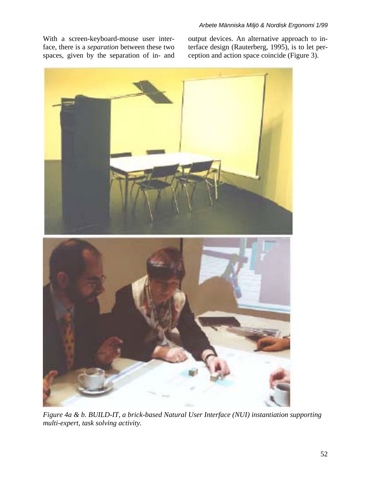With a screen-keyboard-mouse user interface, there is a *separation* between these two spaces, given by the separation of in- and output devices. An alternative approach to interface design (Rauterberg, 1995), is to let perception and action space coincide (Figure 3).



*Figure 4a & b. BUILD-IT, a brick-based Natural User Interface (NUI) instantiation supporting multi-expert, task solving activity.*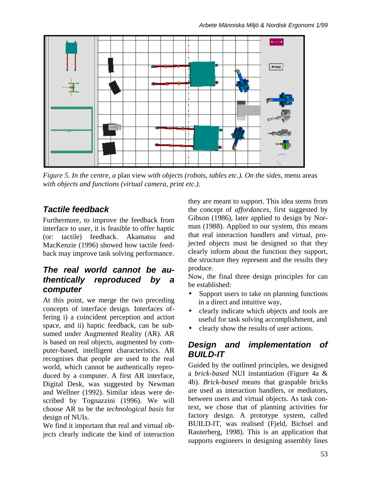

*Figure 5. In the centre, a* plan view *with objects (robots, tables etc.). On the sides,* menu areas *with objects and functions (virtual camera, print etc.).* 

## *Tactile feedback*

Furthermore, to improve the feedback from interface to user, it is feasible to offer haptic (or: tactile) feedback. Akamatsu and MacKenzie (1996) showed how tactile feedback may improve task solving performance.

#### *The real world cannot be authentically reproduced by a computer*

At this point, we merge the two preceding concepts of interface design. Interfaces offering i) a coincident perception and action space, and ii) haptic feedback, can be subsumed under Augmented Reality (AR). AR is based on real objects, augmented by computer-based, intelligent characteristics. AR recognises that people are used to the real world, which cannot be authentically reproduced by a computer. A first AR interface, Digital Desk, was suggested by Newman and Wellner (1992). Similar ideas were described by Tognazzini (1996). We will choose AR to be the *technological basis* for design of NUIs.

We find it important that real and virtual objects clearly indicate the kind of interaction they are meant to support. This idea stems from the concept of *affordances*, first suggested by Gibson (1986), later applied to design by Norman (1988). Applied to our system, this means that real interaction handlers and virtual, projected objects must be designed so that they clearly inform about the function they support, the structure they represent and the results they produce.

Now, the final three design principles for can be established:

- Support users to take on planning functions in a direct and intuitive way,
- clearly indicate which objects and tools are useful for task solving accomplishment, and
- clearly show the results of user actions.

#### *Design and implementation of BUILD-IT*

Guided by the outlined principles, we designed a *brick-based* NUI instantiation (Figure 4a & 4b). *Brick-based* means that graspable bricks are used as interaction handlers, or mediators, between users and virtual objects. As task context, we chose that of planning activities for factory design. A prototype system, called BUILD-IT, was realised (Fjeld, Bichsel and Rauterberg, 1998). This is an application that supports engineers in designing assembly lines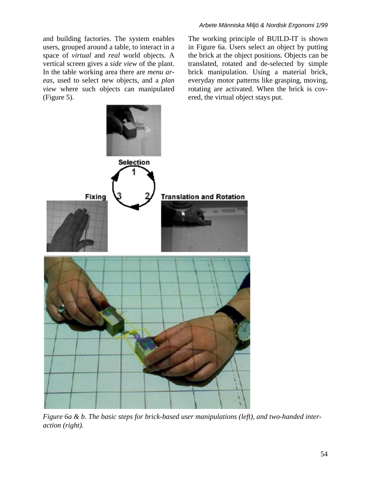and building factories. The system enables users, grouped around a table, to interact in a space of *virtual* and *real* world objects. A vertical screen gives a *side view* of the plant. In the table working area there are *menu areas*, used to select new objects, and a *plan view* where such objects can manipulated (Figure 5).

The working principle of BUILD-IT is shown in Figure 6a. Users select an object by putting the brick at the object positions. Objects can be translated, rotated and de-selected by simple brick manipulation. Using a material brick, everyday motor patterns like grasping, moving, rotating are activated. When the brick is covered, the virtual object stays put.



*Figure 6a & b. The basic steps for brick-based user manipulations (left), and two-handed interaction (right).*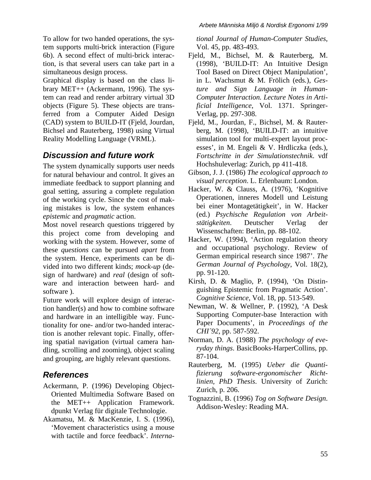To allow for two handed operations, the system supports multi-brick interaction (Figure 6b). A second effect of multi-brick interaction, is that several users can take part in a simultaneous design process.

Graphical display is based on the class library MET++ (Ackermann, 1996). The system can read and render arbitrary virtual 3D objects (Figure 5). These objects are transferred from a Computer Aided Design (CAD) system to BUILD-IT (Fjeld, Jourdan, Bichsel and Rauterberg, 1998) using Virtual Reality Modelling Language (VRML).

## *Discussion and future work*

The system dynamically supports user needs for natural behaviour and control. It gives an immediate feedback to support planning and goal setting, assuring a complete regulation of the working cycle. Since the cost of making mistakes is low, the system enhances *epistemic* and *pragmatic* action.

Most novel research questions triggered by this project come from developing and working with the system. However, some of these *questions* can be pursued *apart* from the system. Hence, experiments can be divided into two different kinds; *mock-up* (design of hardware) and *real* (design of software and interaction between hard- and software ).

Future work will explore design of interaction handler(s) and how to combine software and hardware in an intelligible way. Functionality for one- and/or two-handed interaction is another relevant topic. Finally, offering spatial navigation (virtual camera handling, scrolling and zooming), object scaling and grouping, are highly relevant questions.

## *References*

- Ackermann, P. (1996) Developing Object-Oriented Multimedia Software Based on the MET++ Application Framework. dpunkt Verlag für digitale Technologie.
- Akamatsu, M. & MacKenzie, I. S. (1996), 'Movement characteristics using a mouse with tactile and force feedback'. *Interna-*

*tional Journal of Human-Computer Studies*, Vol. 45, pp. 483-493.

- Fjeld, M., Bichsel, M. & Rauterberg, M. (1998), 'BUILD-IT: An Intuitive Design Tool Based on Direct Object Manipulation', in L. Wachsmut & M. Frölich (eds*.*), *Gesture and Sign Language in Human-Computer Interaction. Lecture Notes in Artificial Intelligence*, Vol. 1371. Springer-Verlag, pp. 297-308.
- Fjeld, M., Jourdan, F., Bichsel, M. & Rauterberg, M. (1998), 'BUILD-IT: an intuitive simulation tool for multi-expert layout processes', in M. Engeli & V. Hrdliczka (eds.), *Fortschritte in der Simulationstechnik*. vdf Hochshuleverlag: Zurich, pp 411-418.
- Gibson, J. J. (1986) *The ecological approach to visual perception*. L. Erlenbaum: London.
- Hacker, W. & Clauss, A. (1976), 'Kognitive Operationen, inneres Modell und Leistung bei einer Montagetätigkeit', in W. Hacker (ed.) *Psychische Regulation von Arbeitstätigkeiten*. Deutscher Verlag der Wissenschaften: Berlin, pp. 88-102.
- Hacker, W. (1994), 'Action regulation theory and occupational psychology. Review of German empirical research since 1987'. *The German Journal of Psychology*, Vol. 18(2), pp. 91-120.
- Kirsh, D. & Maglio, P. (1994), 'On Distinguishing Epistemic from Pragmatic Action'. *Cognitive Science*, Vol. 18, pp. 513-549.
- Newman, W. & Wellner, P. (1992), 'A Desk Supporting Computer-base Interaction with Paper Documents', in *Proceedings of the CHI´92*, pp. 587-592.
- Norman, D. A. (1988) *The psychology of everyday things*. BasicBooks-HarperCollins, pp. 87-104.
- Rauterberg, M. (1995) *Ueber die Quantifizierung software-ergonomischer Richtlinien, PhD Thesis*. University of Zurich: Zurich, p. 206.
- Tognazzini, B. (1996) *Tog on Software Design*. Addison-Wesley: Reading MA.